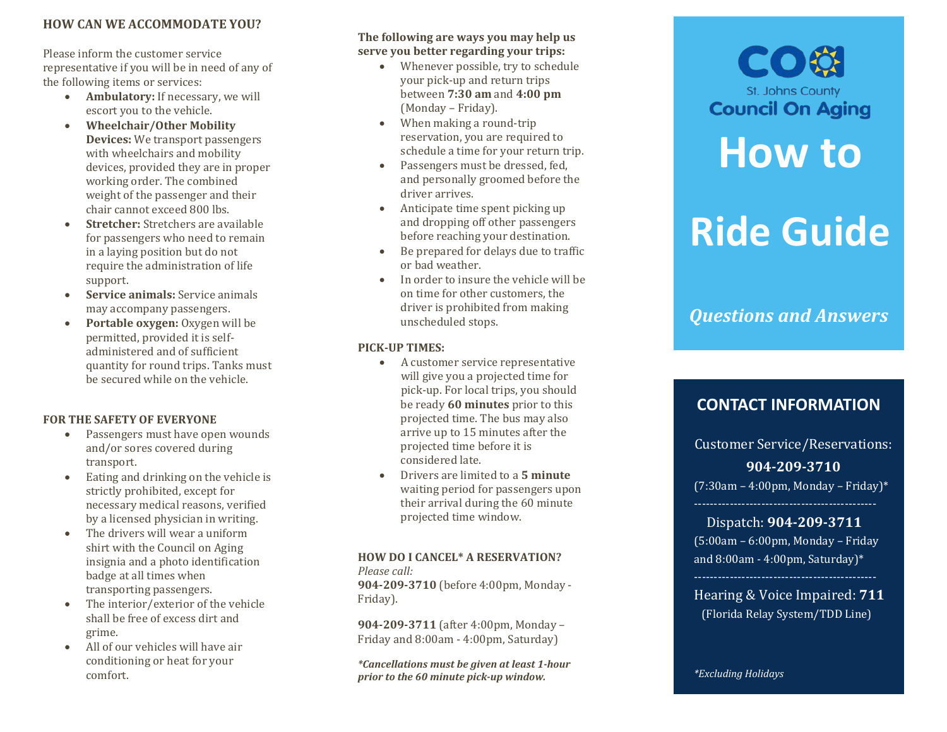#### **HOW CAN WE ACCOMMODATE YOU?**

Please inform the customer service representative if you will be in need of any of<br>the following items or services:

- **Ambulatory:** If necessary, we will escort you to the vehicle.
- **Wheelchair /Other Mobility Devices :** We transport passengers with wheelchairs and mobility devices , provided they are in proper working order. The combined weight of the passenger and their chair cannot exceed 800 lbs.
- **Stretcher:** Stretchers are available for passengers who need to remain in a l aying position but do not require the administration of life support.
- **Service animals:** Service animals may accompany passengers.
- **Portable oxygen:** Oxygen will be permitted , provided it is self administered and of sufficient quantity for round trips. Tanks must be secured while on the vehicle.

#### **FOR THE SAFETY OF EVERYONE**

- Passengers must have open wounds and/or sores covered during transport.
- Eating and drinking on the vehicle is strictly prohibited, except for necessary medical reasons, verified by a licensed physician in writing .
- The drivers will wear a uniform shirt with the Council on Aging insignia and a photo identification badge at all times when transporting passengers .
- The interior/exterior of the vehicle shall be free of excess dirt and grime.
- All of our vehicles will have air conditioning or heat for your comfort.

#### **The following are ways you may help us serve you better regarding your trips :**

- Whenever possible, try to schedule your pick -up and return trips between **7:30 am** and **4:00 pm** (Monday – Friday) .
- When making a round-trip reservation, you are required to schedule a time for your return trip.
- Passenger s must be dressed, fed, and personally groomed before the driver arrives.
- Anticipate time spent picking up and dropping off other passengers before reaching your destination.
- Be prepared for delays due to traffic or bad weather.
- In order to insure the vehicle will be on time for other customers, the driver is prohibited from making unscheduled stops.

#### **PICK -UP TIMES:**

- A customer service representative will give you a projected time for pick -up. For local trips, you should be ready **60 minutes** prior to this projected time. The bus may also arrive up to 15 minutes after the projected time before it is considered late.
- Drivers are limited to a **5 minute** waiting period for passengers upon their arrival during the 60 minute projected time window.

## **HOW DO I CANCEL \* A RESERVATION?**

*Please call:*  **904 -209 -3710** (before 4:00pm, Monday - Friday).

**904 -209 - 3711** (after 4:00pm, Monday – Friday and 8:00am - 4:00pm, Saturday )

*\*Cancellations must be given at least 1 -hour prior to the 60 minute pick -up window.*

# **Council On Aging How to Ride Guide**

CO

St. Johns County

*Questions and Answers*

## **CONTACT INFORMATION**

Customer Service/ Reservations: **904 -209 -3710** (7:30am – 4:00pm , Monday – Friday ) \*

 Dispatch : **904 -209 -3711** (5:00am – 6:00pm, Monday – Friday and 8:00am - 4:00pm, Saturday)\*

Hearing & Voice Impaired: **711** (Florida Relay System/TDD Line)

*\*Excluding Holidays*